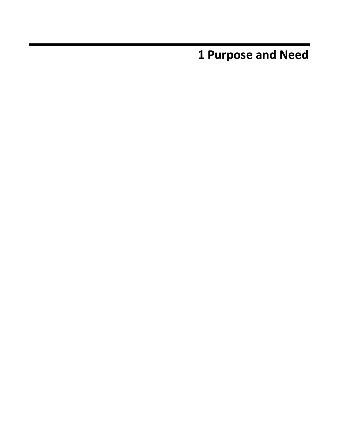**Purpose and Need**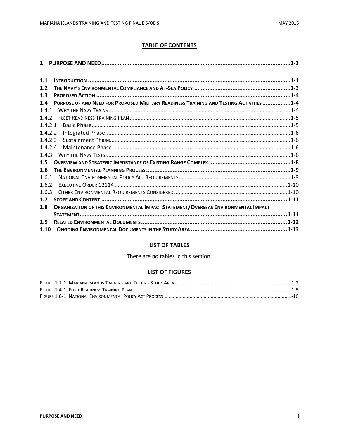### **TABLE OF CONTENTS**

| $\mathbf{1}$                                                                                   |
|------------------------------------------------------------------------------------------------|
|                                                                                                |
| 1.1                                                                                            |
| 1.2                                                                                            |
| 1.3                                                                                            |
| PURPOSE OF AND NEED FOR PROPOSED MILITARY READINESS TRAINING AND TESTING ACTIVITIES 1-4<br>1.4 |
| 1.4.1                                                                                          |
| 1.4.2                                                                                          |
| 1.4.2.1                                                                                        |
| 1.4.2.2                                                                                        |
| 1.4.2.3                                                                                        |
| 1.4.2.4                                                                                        |
| 1.4.3                                                                                          |
| 1.5                                                                                            |
| 1.6                                                                                            |
| 1.6.1                                                                                          |
| 1.6.2                                                                                          |
| 1.6.3                                                                                          |
| 1.7                                                                                            |
| ORGANIZATION OF THIS ENVIRONMENTAL IMPACT STATEMENT/OVERSEAS ENVIRONMENTAL IMPACT<br>1.8       |
|                                                                                                |
| 1.9                                                                                            |
| 1.10                                                                                           |

#### **LIST OF TABLES**

There are no tables in this section.

## **LIST OF FIGURES**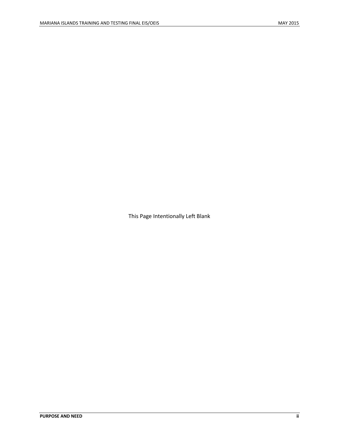This Page Intentionally Left Blank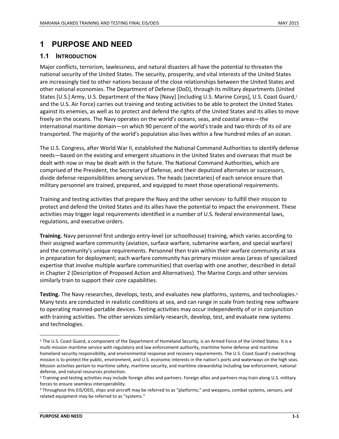# <span id="page-4-0"></span>**1 PURPOSE AND NEED**

## <span id="page-4-1"></span>**1.1 INTRODUCTION**

Major conflicts, terrorism, lawlessness, and natural disasters all have the potential to threaten the national security of the United States. The security, prosperity, and vital interests of the United States are increasingly tied to other nations because of the close relationships between the United States and other national economies. The Department of Defense (DoD), through its military departments (United States [U.S.] Army, U.S. Department of the Navy [Navy] [including U.S. Marine Corps], U.S. Coast Guard,<sup>1</sup> and the U.S. Air Force) carries out training and testing activities to be able to protect the United States against its enemies, as well as to protect and defend the rights of the United States and its allies to move freely on the oceans. The Navy operates on the world's oceans, seas, and coastal areas—the international maritime domain—on which 90 percent of the world's trade and two-thirds of its oil are transported. The majority of the world's population also lives within a few hundred miles of an ocean.

The U.S. Congress, after World War II, established the National Command Authorities to identify defense needs—based on the existing and emergent situations in the United States and overseas that must be dealt with now or may be dealt with in the future. The National Command Authorities, which are comprised of the President, the Secretary of Defense, and their deputized alternates or successors, divide defense responsibilities among services. The heads (secretaries) of each service ensure that military personnel are trained, prepared, and equipped to meet those operational requirements.

Training and testing activities that prepare the Navy and the other services<sup>2</sup> to fulfill their mission to protect and defend the United States and its allies have the potential to impact the environment. These activities may trigger legal requirements identified in a number of U.S. federal environmental laws, regulations, and executive orders.

**Training.** Navy personnel first undergo entry-level (or schoolhouse) training, which varies according to their assigned warfare community (aviation, surface warfare, submarine warfare, and special warfare) and the community's unique requirements. Personnel then train within their warfare community at sea in preparation for deployment; each warfare community has primary mission areas (areas of specialized expertise that involve multiple warfare communities) that overlap with one another, described in detail in Chapter 2 (Description of Proposed Action and Alternatives). The Marine Corps and other services similarly train to support their core capabilities.

**Testing.** The Navy researches, develops, tests, and evaluates new platforms, systems, and technologies.<sup>3</sup> Many tests are conducted in realistic conditions at sea, and can range in scale from testing new software to operating manned-portable devices. Testing activities may occur independently of or in conjunction with training activities. The other services similarly research, develop, test, and evaluate new systems and technologies.

 $\overline{\phantom{a}}$ 

<sup>&</sup>lt;sup>1</sup> The U.S. Coast Guard, a component of the Department of Homeland Security, is an Armed Force of the United States. It is a multi-mission maritime service with regulatory and law enforcement authority, maritime home defense and maritime homeland security responsibility, and environmental response and recovery requirements. The U.S. Coast Guard's overarching mission is to protect the public, environment, and U.S. economic interests in the nation's ports and waterways on the high seas. Mission activities pertain to maritime safety, maritime security, and maritime stewardship including law enforcement, national defense, and natural resources protection.

<sup>&</sup>lt;sup>2</sup> Training and testing activities may include foreign allies and partners. Foreign allies and partners may train along U.S. military forces to ensure seamless interoperability.

<sup>3</sup> Throughout this EIS/OEIS, ships and aircraft may be referred to as "platforms," and weapons, combat systems, sensors, and related equipment may be referred to as "systems."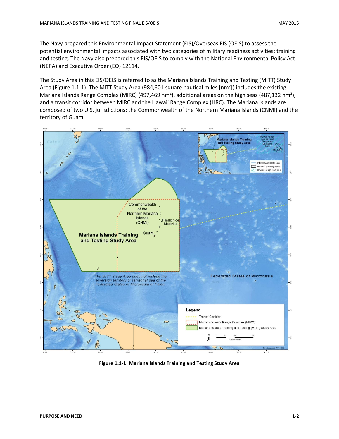The Navy prepared this Environmental Impact Statement (EIS)/Overseas EIS (OEIS) to assess the potential environmental impacts associated with two categories of military readiness activities: training and testing. The Navy also prepared this EIS/OEIS to comply with the National Environmental Policy Act (NEPA) and Executive Order (EO) 12114.

The Study Area in this EIS/OEIS is referred to as the Mariana Islands Training and Testing (MITT) Study Area [\(Figure 1.1-1\)](#page-5-0). The MITT Study Area (984,601 square nautical miles [nm<sup>2</sup>]) includes the existing Mariana Islands Range Complex (MIRC) (497,469 nm<sup>2</sup>), additional areas on the high seas (487,132 nm<sup>2</sup>), and a transit corridor between MIRC and the Hawaii Range Complex (HRC). The Mariana Islands are composed of two U.S. jurisdictions: the Commonwealth of the Northern Mariana Islands (CNMI) and the territory of Guam.



<span id="page-5-0"></span>**Figure 1.1-1: Mariana Islands Training and Testing Study Area**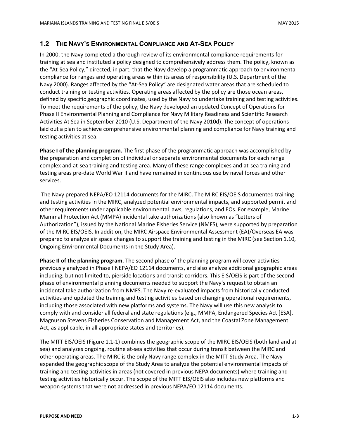## <span id="page-6-0"></span>**1.2 THE NAVY'S ENVIRONMENTAL COMPLIANCE AND AT-SEA POLICY**

In 2000, the Navy completed a thorough review of its environmental compliance requirements for training at sea and instituted a policy designed to comprehensively address them. The policy, known as the "At-Sea Policy," directed, in part, that the Navy develop a programmatic approach to environmental compliance for ranges and operating areas within its areas of responsibility [\(U.S. Department of the](#page-18-0)  [Navy 2000\)](#page-18-0). Ranges affected by the "At-Sea Policy" are designated water areas that are scheduled to conduct training or testing activities. Operating areas affected by the policy are those ocean areas, defined by specific geographic coordinates, used by the Navy to undertake training and testing activities. To meet the requirements of the policy, the Navy developed an updated Concept of Operations for Phase II Environmental Planning and Compliance for Navy Military Readiness and Scientific Research Activities At Sea in September 2010 [\(U.S. Department of the Navy 201](#page-18-0)0d). The concept of operations laid out a plan to achieve comprehensive environmental planning and compliance for Navy training and testing activities at sea.

**Phase I of the planning program.** The first phase of the programmatic approach was accomplished by the preparation and completion of individual or separate environmental documents for each range complex and at-sea training and testing area. Many of these range complexes and at-sea training and testing areas pre-date World War II and have remained in continuous use by naval forces and other services.

The Navy prepared NEPA/EO 12114 documents for the MIRC. The MIRC EIS/OEIS documented training and testing activities in the MIRC, analyzed potential environmental impacts, and supported permit and other requirements under applicable environmental laws, regulations, and EOs. For example, Marine Mammal Protection Act (MMPA) incidental take authorizations (also known as "Letters of Authorization"), issued by the National Marine Fisheries Service (NMFS), were supported by preparation of the MIRC EIS/OEIS. In addition, the MIRC Airspace Environmental Assessment (EA)/Overseas EA was prepared to analyze air space changes to support the training and testing in the MIRC (see Section 1.10, Ongoing Environmental Documents in the Study Area).

**Phase II of the planning program.** The second phase of the planning program will cover activities previously analyzed in Phase I NEPA/EO 12114 documents, and also analyze additional geographic areas including, but not limited to, pierside locations and transit corridors. This EIS/OEIS is part of the second phase of environmental planning documents needed to support the Navy's request to obtain an incidental take authorization from NMFS. The Navy re-evaluated impacts from historically conducted activities and updated the training and testing activities based on changing operational requirements, including those associated with new platforms and systems. The Navy will use this new analysis to comply with and consider all federal and state regulations (e.g., MMPA, Endangered Species Act [ESA], Magnuson Stevens Fisheries Conservation and Management Act, and the Coastal Zone Management Act, as applicable, in all appropriate states and territories).

The MITT EIS/OEIS [\(Figure 1.1-1\)](#page-5-0) combines the geographic scope of the MIRC EIS/OEIS (both land and at sea) and analyzes ongoing, routine at-sea activities that occur during transit between the MIRC and other operating areas. The MIRC is the only Navy range complex in the MITT Study Area. The Navy expanded the geographic scope of the Study Area to analyze the potential environmental impacts of training and testing activities in areas (not covered in previous NEPA documents) where training and testing activities historically occur. The scope of the MITT EIS/OEIS also includes new platforms and weapon systems that were not addressed in previous NEPA/EO 12114 documents.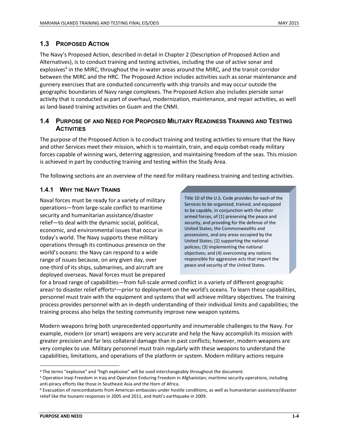## <span id="page-7-2"></span><span id="page-7-0"></span>**1.3 PROPOSED ACTION**

The Navy's Proposed Action, described in detail in Chapter 2 (Description of Proposed Action and Alternatives), is to conduct training and testing activities, including the use of active sonar and explosives<sup>4</sup> in the MIRC, throughout the in-water areas around the MIRC, and the transit corridor between the MIRC and the HRC. The Proposed Action includes activities such as sonar maintenance and gunnery exercises that are conducted concurrently with ship transits and may occur outside the geographic boundaries of Navy range complexes. The Proposed Action also includes pierside sonar activity that is conducted as part of overhaul, modernization, maintenance, and repair activities, as well as land-based training activities on Guam and the CNMI.

## <span id="page-7-1"></span>**1.4 PURPOSE OF AND NEED FOR PROPOSED MILITARY READINESS TRAINING AND TESTING ACTIVITIES**

The purpose of the Proposed Action is to conduct training and testing activities to ensure that the Navy and other Services meet their mission, which is to maintain, train, and equip combat-ready military forces capable of winning wars, deterring aggression, and maintaining freedom of the seas. This mission is achieved in part by conducting training and testing within the Study Area.

The following sections are an overview of the need for military readiness training and testing activities.

## **1.4.1 WHY THE NAVY TRAINS**

Naval forces must be ready for a variety of military operations—from large-scale conflict to maritime security and humanitarian assistance/disaster relief—to deal with the dynamic social, political, economic, and environmental issues that occur in today's world. The Navy supports these military operations through its continuous presence on the world's oceans: the Navy can respond to a wide range of issues because, on any given day, over one-third of its ships, submarines, and aircraft are deployed overseas. Naval forces must be prepared Title 10 of the U.S. Code provides for each of the Services to be organized, trained, and equipped to be capable, in conjunction with the other armed forces, of (1) preserving the peace and security, and providing for the defense of the United States, the Commonwealths and possessions, and any areas occupied by the United States; (2) supporting the national policies; (3) implementing the national objectives; and (4) overcoming any nations responsible for aggressive acts that imperil the peace and security of the United States.

for a broad range of capabilities—from full-scale armed conflict in a variety of different geographic areas<sup>5</sup> to disaster relief efforts<sup>6</sup>—prior to deployment on the world's oceans. To learn these capabilities, personnel must train with the equipment and systems that will achieve military objectives. The training process provides personnel with an in-depth understanding of their individual limits and capabilities; the training process also helps the testing community improve new weapon systems.

Modern weapons bring both unprecedented opportunity and innumerable challenges to the Navy. For example, modern (or smart) weapons are very accurate and help the Navy accomplish its mission with greater precision and far less collateral damage than in past conflicts; however, modern weapons are very complex to use. Military personnel must train regularly with these weapons to understand the capabilities, limitations, and operations of the platform or system. Modern military actions require

 $\overline{\phantom{a}}$ <sup>4</sup> The terms "explosive" and "high explosive" will be used interchangeably throughout the document.

<sup>5</sup> Operation Iraqi Freedom in Iraq and Operation Enduring Freedom in Afghanistan; maritime security operations, including anti-piracy efforts like those in Southeast Asia and the Horn of Africa.

<sup>6</sup> Evacuation of noncombatants from American embassies under hostile conditions, as well as humanitarian assistance/disaster relief like the tsunami responses in 2005 and 2011, and Haiti's earthquake in 2009.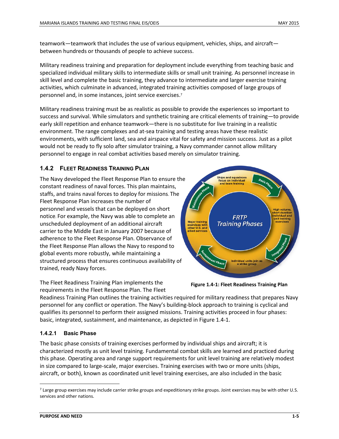teamwork—teamwork that includes the use of various equipment, vehicles, ships, and aircraft between hundreds or thousands of people to achieve success.

Military readiness training and preparation for deployment include everything from teaching basic and specialized individual military skills to intermediate skills or small unit training. As personnel increase in skill level and complete the basic training, they advance to intermediate and larger exercise training activities, which culminate in advanced, integrated training activities composed of large groups of personnel and, in some instances, joint service exercises. 7

Military readiness training must be as realistic as possible to provide the experiences so important to success and survival. While simulators and synthetic training are critical elements of training—to provide early skill repetition and enhance teamwork—there is no substitute for live training in a realistic environment. The range complexes and at-sea training and testing areas have these realistic environments, with sufficient land, sea and airspace vital for safety and mission success. Just as a pilot would not be ready to fly solo after simulator training, a Navy commander cannot allow military personnel to engage in real combat activities based merely on simulator training.

## <span id="page-8-0"></span>**1.4.2 FLEET READINESS TRAINING PLAN**

The Navy developed the Fleet Response Plan to ensure the constant readiness of naval forces. This plan maintains, staffs, and trains naval forces to deploy for missions. The Fleet Response Plan increases the number of personnel and vessels that can be deployed on short notice. For example, the Navy was able to complete an unscheduled deployment of an additional aircraft carrier to the Middle East in January 2007 because of adherence to the Fleet Response Plan. Observance of the Fleet Response Plan allows the Navy to respond to global events more robustly, while maintaining a structured process that ensures continuous availability of trained, ready Navy forces.

The Fleet Readiness Training Plan implements the requirements in the Fleet Response Plan. The Fleet



<span id="page-8-2"></span>

Readiness Training Plan outlines the training activities required for military readiness that prepares Navy personnel for any conflict or operation. The Navy's building-block approach to training is cyclical and qualifies its personnel to perform their assigned missions. Training activities proceed in four phases: basic, integrated, sustainment, and maintenance, as depicted in [Figure 1.4-1.](#page-8-2)

## <span id="page-8-1"></span>**1.4.2.1 Basic Phase**

The basic phase consists of training exercises performed by individual ships and aircraft; it is characterized mostly as unit level training. Fundamental combat skills are learned and practiced during this phase. Operating area and range support requirements for unit level training are relatively modest in size compared to large-scale, major exercises. Training exercises with two or more units (ships, aircraft, or both), known as coordinated unit level training exercises, are also included in the basic

 $\overline{\phantom{a}}$ 

<sup>7</sup> Large group exercises may include carrier strike groups and expeditionary strike groups. Joint exercises may be with other U.S. services and other nations.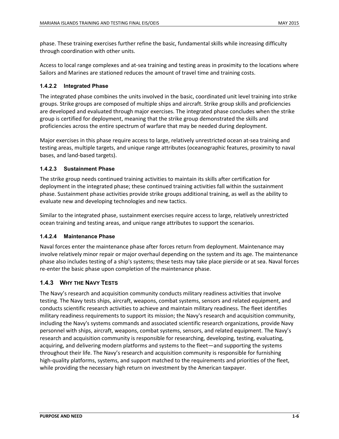phase. These training exercises further refine the basic, fundamental skills while increasing difficulty through coordination with other units.

Access to local range complexes and at-sea training and testing areas in proximity to the locations where Sailors and Marines are stationed reduces the amount of travel time and training costs.

#### <span id="page-9-0"></span>**1.4.2.2 Integrated Phase**

The integrated phase combines the units involved in the basic, coordinated unit level training into strike groups. Strike groups are composed of multiple ships and aircraft. Strike group skills and proficiencies are developed and evaluated through major exercises. The integrated phase concludes when the strike group is certified for deployment, meaning that the strike group demonstrated the skills and proficiencies across the entire spectrum of warfare that may be needed during deployment.

Major exercises in this phase require access to large, relatively unrestricted ocean at-sea training and testing areas, multiple targets, and unique range attributes (oceanographic features, proximity to naval bases, and land-based targets).

#### <span id="page-9-1"></span>**1.4.2.3 Sustainment Phase**

The strike group needs continued training activities to maintain its skills after certification for deployment in the integrated phase; these continued training activities fall within the sustainment phase. Sustainment phase activities provide strike groups additional training, as well as the ability to evaluate new and developing technologies and new tactics.

Similar to the integrated phase, sustainment exercises require access to large, relatively unrestricted ocean training and testing areas, and unique range attributes to support the scenarios.

#### <span id="page-9-2"></span>**1.4.2.4 Maintenance Phase**

Naval forces enter the maintenance phase after forces return from deployment. Maintenance may involve relatively minor repair or major overhaul depending on the system and its age. The maintenance phase also includes testing of a ship's systems; these tests may take place pierside or at sea. Naval forces re-enter the basic phase upon completion of the maintenance phase.

### <span id="page-9-3"></span>**1.4.3 WHY THE NAVY TESTS**

The Navy's research and acquisition community conducts military readiness activities that involve testing. The Navy tests ships, aircraft, weapons, combat systems, sensors and related equipment, and conducts scientific research activities to achieve and maintain military readiness. The fleet identifies military readiness requirements to support its mission; the Navy's research and acquisition community, including the Navy's systems commands and associated scientific research organizations, provide Navy personnel with ships, aircraft, weapons, combat systems, sensors, and related equipment. The Navy's research and acquisition community is responsible for researching, developing, testing, evaluating, acquiring, and delivering modern platforms and systems to the fleet—and supporting the systems throughout their life. The Navy's research and acquisition community is responsible for furnishing high-quality platforms, systems, and support matched to the requirements and priorities of the fleet, while providing the necessary high return on investment by the American taxpayer.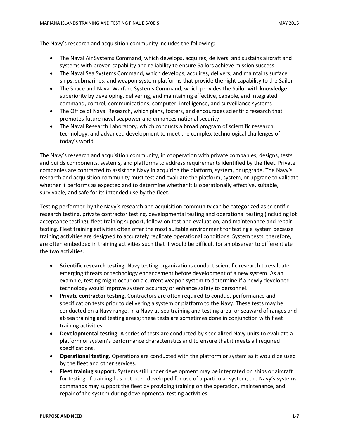The Navy's research and acquisition community includes the following:

- The Naval Air Systems Command, which develops, acquires, delivers, and sustains aircraft and systems with proven capability and reliability to ensure Sailors achieve mission success
- The Naval Sea Systems Command, which develops, acquires, delivers, and maintains surface ships, submarines, and weapon system platforms that provide the right capability to the Sailor
- The Space and Naval Warfare Systems Command, which provides the Sailor with knowledge superiority by developing, delivering, and maintaining effective, capable, and integrated command, control, communications, computer, intelligence, and surveillance systems
- The Office of Naval Research, which plans, fosters, and encourages scientific research that promotes future naval seapower and enhances national security
- The Naval Research Laboratory, which conducts a broad program of scientific research, technology, and advanced development to meet the complex technological challenges of today's world

The Navy's research and acquisition community, in cooperation with private companies, designs, tests and builds components, systems, and platforms to address requirements identified by the fleet. Private companies are contracted to assist the Navy in acquiring the platform, system, or upgrade. The Navy's research and acquisition community must test and evaluate the platform, system, or upgrade to validate whether it performs as expected and to determine whether it is operationally effective, suitable, survivable, and safe for its intended use by the fleet.

Testing performed by the Navy's research and acquisition community can be categorized as scientific research testing, private contractor testing, developmental testing and operational testing (including lot acceptance testing), fleet training support, follow-on test and evaluation, and maintenance and repair testing. Fleet training activities often offer the most suitable environment for testing a system because training activities are designed to accurately replicate operational conditions. System tests, therefore, are often embedded in training activities such that it would be difficult for an observer to differentiate the two activities.

- **Scientific research testing.** Navy testing organizations conduct scientific research to evaluate emerging threats or technology enhancement before development of a new system. As an example, testing might occur on a current weapon system to determine if a newly developed technology would improve system accuracy or enhance safety to personnel.
- **Private contractor testing.** Contractors are often required to conduct performance and specification tests prior to delivering a system or platform to the Navy. These tests may be conducted on a Navy range, in a Navy at-sea training and testing area, or seaward of ranges and at-sea training and testing areas; these tests are sometimes done in conjunction with fleet training activities.
- **Developmental testing.** A series of tests are conducted by specialized Navy units to evaluate a platform or system's performance characteristics and to ensure that it meets all required specifications.
- **Operational testing.** Operations are conducted with the platform or system as it would be used by the fleet and other services.
- **Fleet training support.** Systems still under development may be integrated on ships or aircraft for testing. If training has not been developed for use of a particular system, the Navy's systems commands may support the fleet by providing training on the operation, maintenance, and repair of the system during developmental testing activities.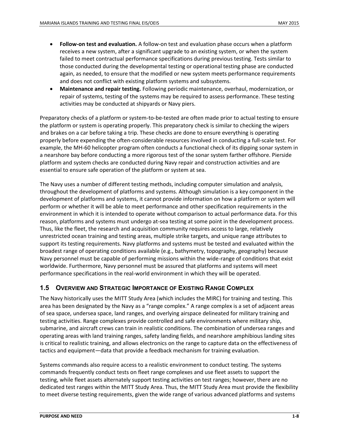- **Follow-on test and evaluation.** A follow-on test and evaluation phase occurs when a platform receives a new system, after a significant upgrade to an existing system, or when the system failed to meet contractual performance specifications during previous testing. Tests similar to those conducted during the developmental testing or operational testing phase are conducted again, as needed, to ensure that the modified or new system meets performance requirements and does not conflict with existing platform systems and subsystems.
- **Maintenance and repair testing.** Following periodic maintenance, overhaul, modernization, or repair of systems, testing of the systems may be required to assess performance. These testing activities may be conducted at shipyards or Navy piers.

Preparatory checks of a platform or system-to-be-tested are often made prior to actual testing to ensure the platform or system is operating properly. This preparatory check is similar to checking the wipers and brakes on a car before taking a trip. These checks are done to ensure everything is operating properly before expending the often-considerable resources involved in conducting a full-scale test. For example, the MH-60 helicopter program often conducts a functional check of its dipping sonar system in a nearshore bay before conducting a more rigorous test of the sonar system farther offshore. Pierside platform and system checks are conducted during Navy repair and construction activities and are essential to ensure safe operation of the platform or system at sea.

The Navy uses a number of different testing methods, including computer simulation and analysis, throughout the development of platforms and systems. Although simulation is a key component in the development of platforms and systems, it cannot provide information on how a platform or system will perform or whether it will be able to meet performance and other specification requirements in the environment in which it is intended to operate without comparison to actual performance data. For this reason, platforms and systems must undergo at-sea testing at some point in the development process. Thus, like the fleet, the research and acquisition community requires access to large, relatively unrestricted ocean training and testing areas, multiple strike targets, and unique range attributes to support its testing requirements. Navy platforms and systems must be tested and evaluated within the broadest range of operating conditions available (e.g., bathymetry, topography, geography) because Navy personnel must be capable of performing missions within the wide-range of conditions that exist worldwide. Furthermore, Navy personnel must be assured that platforms and systems will meet performance specifications in the real-world environment in which they will be operated.

## <span id="page-11-0"></span>**1.5 OVERVIEW AND STRATEGIC IMPORTANCE OF EXISTING RANGE COMPLEX**

The Navy historically uses the MITT Study Area (which includes the MIRC) for training and testing. This area has been designated by the Navy as a "range complex." A range complex is a set of adjacent areas of sea space, undersea space, land ranges, and overlying airspace delineated for military training and testing activities. Range complexes provide controlled and safe environments where military ship, submarine, and aircraft crews can train in realistic conditions. The combination of undersea ranges and operating areas with land training ranges, safety landing fields, and nearshore amphibious landing sites is critical to realistic training, and allows electronics on the range to capture data on the effectiveness of tactics and equipment—data that provide a feedback mechanism for training evaluation.

Systems commands also require access to a realistic environment to conduct testing. The systems commands frequently conduct tests on fleet range complexes and use fleet assets to support the testing, while fleet assets alternately support testing activities on test ranges; however, there are no dedicated test ranges within the MITT Study Area. Thus, the MITT Study Area must provide the flexibility to meet diverse testing requirements, given the wide range of various advanced platforms and systems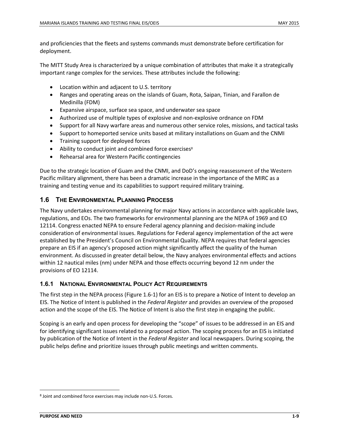and proficiencies that the fleets and systems commands must demonstrate before certification for deployment.

The MITT Study Area is characterized by a unique combination of attributes that make it a strategically important range complex for the services. These attributes include the following:

- Location within and adjacent to U.S. territory
- Ranges and operating areas on the islands of Guam, Rota, Saipan, Tinian, and Farallon de Medinilla (FDM)
- Expansive airspace, surface sea space, and underwater sea space
- Authorized use of multiple types of explosive and non-explosive ordnance on FDM
- Support for all Navy warfare areas and numerous other service roles, missions, and tactical tasks
- Support to homeported service units based at military installations on Guam and the CNMI
- Training support for deployed forces
- Ability to conduct joint and combined force exercises<sup>8</sup>
- Rehearsal area for Western Pacific contingencies

Due to the strategic location of Guam and the CNMI, and DoD's ongoing reassessment of the Western Pacific military alignment, there has been a dramatic increase in the importance of the MIRC as a training and testing venue and its capabilities to support required military training.

### <span id="page-12-0"></span>**1.6 THE ENVIRONMENTAL PLANNING PROCESS**

The Navy undertakes environmental planning for major Navy actions in accordance with applicable laws, regulations, and EOs. The two frameworks for environmental planning are the NEPA of 1969 and EO 12114. Congress enacted NEPA to ensure Federal agency planning and decision-making include consideration of environmental issues. Regulations for Federal agency implementation of the act were established by the President's Council on Environmental Quality. NEPA requires that federal agencies prepare an EIS if an agency's proposed action might significantly affect the quality of the human environment. As discussed in greater detail below, the Navy analyzes environmental effects and actions within 12 nautical miles (nm) under NEPA and those effects occurring beyond 12 nm under the provisions of EO 12114.

#### <span id="page-12-1"></span>**1.6.1 NATIONAL ENVIRONMENTAL POLICY ACT REQUIREMENTS**

The first step in the NEPA process [\(Figure 1.6-1\)](#page-13-2) for an EIS is to prepare a Notice of Intent to develop an EIS. The Notice of Intent is published in the *Federal Register* and provides an overview of the proposed action and the scope of the EIS. The Notice of Intent is also the first step in engaging the public.

Scoping is an early and open process for developing the "scope" of issues to be addressed in an EIS and for identifying significant issues related to a proposed action. The scoping process for an EIS is initiated by publication of the Notice of Intent in the *Federal Register* and local newspapers. During scoping, the public helps define and prioritize issues through public meetings and written comments.

 $\overline{a}$ 

<sup>8</sup> Joint and combined force exercises may include non-U.S. Forces.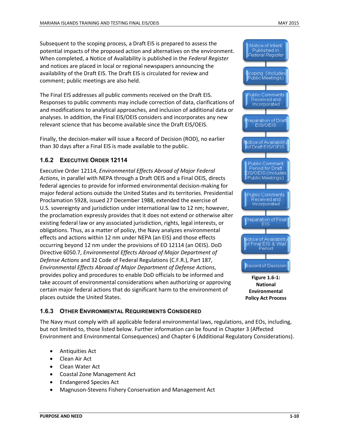The Final EIS addresses all public comments received on the Draft EIS. Responses to public comments may include correction of data, clarifications of and modifications to analytical approaches, and inclusion of additional data or analyses. In addition, the Final EIS/OEIS considers and incorporates any new relevant science that has become available since the Draft EIS/OEIS.

Finally, the decision-maker will issue a Record of Decision (ROD), no earlier than 30 days after a Final EIS is made available to the public.

## <span id="page-13-0"></span>**1.6.2 EXECUTIVE ORDER 12114**

Executive Order 12114, *Environmental Effects Abroad of Major Federal Actions*, in parallel with NEPA through a Draft OEIS and a Final OEIS, directs federal agencies to provide for informed environmental decision-making for major federal actions outside the United States and its territories. Presidential Proclamation 5928, issued 27 December 1988, extended the exercise of U.S. sovereignty and jurisdiction under international law to 12 nm; however, the proclamation expressly provides that it does not extend or otherwise alter existing federal law or any associated jurisdiction, rights, legal interests, or obligations. Thus, as a matter of policy, the Navy analyzes environmental effects and actions within 12 nm under NEPA (an EIS) and those effects occurring beyond 12 nm under the provisions of EO 12114 (an OEIS). DoD Directive 6050.7, *Environmental Effects Abroad of Major Department of Defense Actions* and 32 Code of Federal Regulations (C.F.R.), Part 187, *Environmental Effects Abroad of Major Department of Defense Actions*, provides policy and procedures to enable DoD officials to be informed and take account of environmental considerations when authorizing or approving certain major federal actions that do significant harm to the environment of places outside the United States.

## <span id="page-13-2"></span><span id="page-13-1"></span>**1.6.3 OTHER ENVIRONMENTAL REQUIREMENTS CONSIDERED**

The Navy must comply with all applicable federal environmental laws, regulations, and EOs, including, but not limited to, those listed below. Further information can be found in Chapter 3 (Affected Environment and Environmental Consequences) and Chapter 6 (Additional Regulatory Considerations).

- Antiquities Act
- Clean Air Act
- Clean Water Act
- Coastal Zone Management Act
- Endangered Species Act
- Magnuson-Stevens Fishery Conservation and Management Act

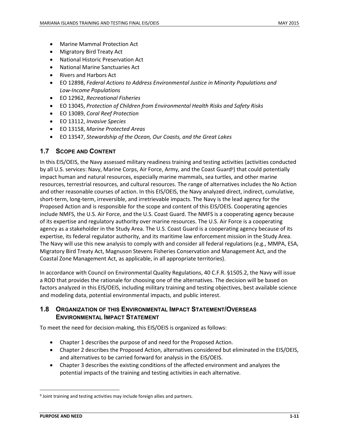- Marine Mammal Protection Act
- Migratory Bird Treaty Act
- National Historic Preservation Act
- National Marine Sanctuaries Act
- Rivers and Harbors Act
- EO 12898, *Federal Actions to Address Environmental Justice in Minority Populations and Low-Income Populations*
- EO 12962, *Recreational Fisheries*
- EO 13045, *Protection of Children from Environmental Health Risks and Safety Risks*
- EO 13089, *Coral Reef Protection*
- EO 13112, *Invasive Species*
- EO 13158, *Marine Protected Areas*
- EO 13547, *Stewardship of the Ocean, Our Coasts, and the Great Lakes*

## <span id="page-14-0"></span>**1.7 SCOPE AND CONTENT**

In this EIS/OEIS, the Navy assessed military readiness training and testing activities (activities conducted by all U.S. services: Navy, Marine Corps, Air Force, Army, and the Coast Guard<sup>9</sup>) that could potentially impact human and natural resources, especially marine mammals, sea turtles, and other marine resources, terrestrial resources, and cultural resources. The range of alternatives includes the No Action and other reasonable courses of action. In this EIS/OEIS, the Navy analyzed direct, indirect, cumulative, short-term, long-term, irreversible, and irretrievable impacts. The Navy is the lead agency for the Proposed Action and is responsible for the scope and content of this EIS/OEIS. Cooperating agencies include NMFS, the U.S. Air Force, and the U.S. Coast Guard. The NMFS is a cooperating agency because of its expertise and regulatory authority over marine resources. The U.S. Air Force is a cooperating agency as a stakeholder in the Study Area. The U.S. Coast Guard is a cooperating agency because of its expertise, its federal regulator authority, and its maritime law enforcement mission in the Study Area. The Navy will use this new analysis to comply with and consider all federal regulations (e.g., MMPA, ESA, Migratory Bird Treaty Act, Magnuson Stevens Fisheries Conservation and Management Act, and the Coastal Zone Management Act, as applicable, in all appropriate territories).

In accordance with Council on Environmental Quality Regulations, 40 C.F.R. §1505.2, the Navy will issue a ROD that provides the rationale for choosing one of the alternatives. The decision will be based on factors analyzed in this EIS/OEIS, including military training and testing objectives, best available science and modeling data, potential environmental impacts, and public interest.

### <span id="page-14-1"></span>**1.8 ORGANIZATION OF THIS ENVIRONMENTAL IMPACT STATEMENT/OVERSEAS ENVIRONMENTAL IMPACT STATEMENT**

To meet the need for decision-making, this EIS/OEIS is organized as follows:

- Chapter 1 describes the purpose of and need for the Proposed Action.
- Chapter 2 describes the Proposed Action, alternatives considered but eliminated in the EIS/OEIS, and alternatives to be carried forward for analysis in the EIS/OEIS.
- Chapter 3 describes the existing conditions of the affected environment and analyzes the potential impacts of the training and testing activities in each alternative.

 $\overline{a}$ 

<sup>&</sup>lt;sup>9</sup> Joint training and testing activities may include foreign allies and partners.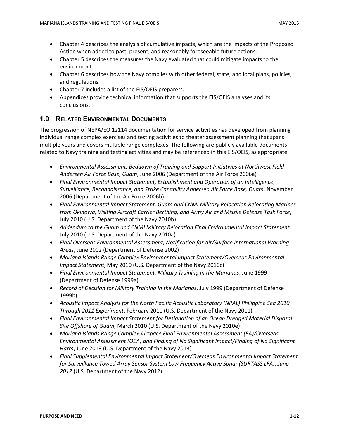- Chapter 4 describes the analysis of cumulative impacts, which are the impacts of the Proposed Action when added to past, present, and reasonably foreseeable future actions.
- Chapter 5 describes the measures the Navy evaluated that could mitigate impacts to the environment.
- Chapter 6 describes how the Navy complies with other federal, state, and local plans, policies, and regulations.
- Chapter 7 includes a list of the EIS/OEIS preparers.
- Appendices provide technical information that supports the EIS/OEIS analyses and its conclusions.

## <span id="page-15-0"></span>**1.9 RELATED ENVIRONMENTAL DOCUMENTS**

The progression of NEPA/EO 12114 documentation for service activities has developed from planning individual range complex exercises and testing activities to theater assessment planning that spans multiple years and covers multiple range complexes. The following are publicly available documents related to Navy training and testing activities and may be referenced in this EIS/OEIS, as appropriate:

- *Environmental Assessment, Beddown of Training and Support Initiatives at Northwest Field Andersen Air Force Base, Guam*, June 2006 [\(Department of the Air Force 2006a\)](#page-18-1)
- *Final Environmental Impact Statement, Establishment and Operation of an Intelligence, Surveillance, Reconnaissance, and Strike Capability Andersen Air Force Base, Guam*, November 2006 [\(Department of the Air Force 2006b\)](#page-18-2)
- *Final Environmental Impact Statement, Guam and CNMI Military Relocation Relocating Marines from Okinawa, Visiting Aircraft Carrier Berthing, and Army Air and Missile Defense Task Force*, July 2010 [\(U.S. Department of the Navy 2010b\)](#page-18-3)
- *Addendum to the Guam and CNMI Military Relocation Final Environmental Impact Statement*, July 2010 [\(U.S. Department of the Navy 2010a\)](#page-18-4)
- *Final Overseas Environmental Assessment, Notification for Air/Surface International Warning Areas*, June 2002 [\(Department of Defense 2002\)](#page-18-5)
- *Mariana Islands Range Complex Environmental Impact Statement/Overseas Environmental Impact Statement*, May 2010 (U.S. Department of the Navy 2010c)
- *Final Environmental Impact Statement, Military Training in the Marianas*, June 1999 [\(Department of Defense 1999a](#page-18-6))
- *Record of Decision for Military Training in the Marianas*, July 1999 [\(Department of Defense](#page-18-6)  [1999b](#page-18-6))
- *Acoustic Impact Analysis for the North Pacific Acoustic Laboratory (NPAL) Philippine Sea 2010 Through 2011 Experiment*, February 2011 (U.S. Department of the Navy 2011)
- *Final Environmental Impact Statement for Designation of an Ocean Dredged Material Disposal Site Offshore of Guam*, March 2010 (U.S. Department of the Navy 2010e)
- *Mariana Islands Range Complex Airspace Final Environmental Assessment (EA)/Overseas Environmental Assessment (OEA) and Finding of No Significant Impact/Finding of No Significant Harm*, June 2013 (U.S. Department of the Navy 2013)
- *Final Supplemental Environmental Impact Statement/Overseas Environmental Impact Statement for Surveillance Towed Array Sensor System Low Frequency Active Sonar (SURTASS LFA), June 2012* (U.S. Department of the Navy 2012)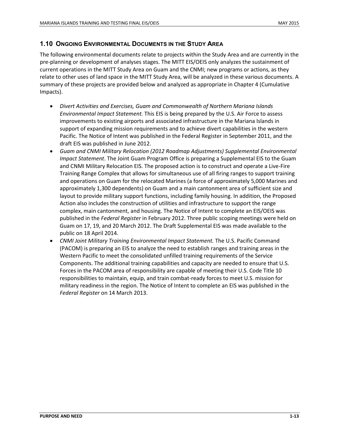## <span id="page-16-0"></span>**1.10 ONGOING ENVIRONMENTAL DOCUMENTS IN THE STUDY AREA**

The following environmental documents relate to projects within the Study Area and are currently in the pre-planning or development of analyses stages. The MITT EIS/OEIS only analyzes the sustainment of current operations in the MITT Study Area on Guam and the CNMI; new programs or actions, as they relate to other uses of land space in the MITT Study Area, will be analyzed in these various documents. A summary of these projects are provided below and analyzed as appropriate in Chapter 4 (Cumulative Impacts).

- *Divert Activities and Exercises, Guam and Commonwealth of Northern Mariana Islands Environmental Impact Statement.* This EIS is being prepared by the U.S. Air Force to assess improvements to existing airports and associated infrastructure in the Mariana Islands in support of expanding mission requirements and to achieve divert capabilities in the western Pacific. The Notice of Intent was published in the Federal Register in September 2011, and the draft EIS was published in June 2012.
- *Guam and CNMI Military Relocation (2012 Roadmap Adjustments) Supplemental Environmental Impact Statement*. The Joint Guam Program Office is preparing a Supplemental EIS to the Guam and CNMI Military Relocation EIS. The proposed action is to construct and operate a Live-Fire Training Range Complex that allows for simultaneous use of all firing ranges to support training and operations on Guam for the relocated Marines (a force of approximately 5,000 Marines and approximately 1,300 dependents) on Guam and a main cantonment area of sufficient size and layout to provide military support functions, including family housing. In addition, the Proposed Action also includes the construction of utilities and infrastructure to support the range complex, main cantonment, and housing. The Notice of Intent to complete an EIS/OEIS was published in the *Federal Register* in February 2012. Three public scoping meetings were held on Guam on 17, 19, and 20 March 2012. The Draft Supplemental EIS was made available to the public on 18 April 2014.
- *CNMI Joint Military Training Environmental Impact Statement.* The U.S. Pacific Command (PACOM) is preparing an EIS to analyze the need to establish ranges and training areas in the Western Pacific to meet the consolidated unfilled training requirements of the Service Components. The additional training capabilities and capacity are needed to ensure that U.S. Forces in the PACOM area of responsibility are capable of meeting their U.S. Code Title 10 responsibilities to maintain, equip, and train combat-ready forces to meet U.S. mission for military readiness in the region. The Notice of Intent to complete an EIS was published in the *Federal Register* on 14 March 2013.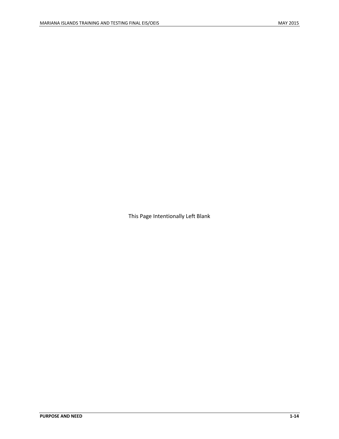This Page Intentionally Left Blank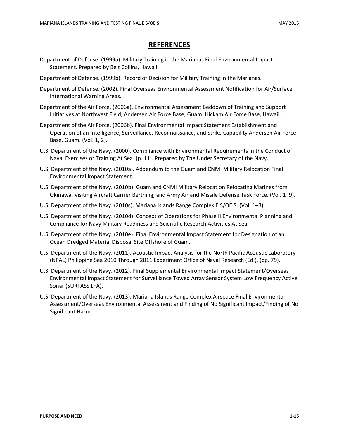## **REFERENCES**

- <span id="page-18-6"></span>Department of Defense. (1999a). Military Training in the Marianas Final Environmental Impact Statement. Prepared by Belt Collins, Hawaii.
- Department of Defense. (1999b). Record of Decision for Military Training in the Marianas.
- <span id="page-18-5"></span>Department of Defense. (2002). Final Overseas Environmental Assessment Notification for Air/Surface International Warning Areas.
- <span id="page-18-1"></span>Department of the Air Force. (2006a). Environmental Assessment Beddown of Training and Support Initiatives at Northwest Field, Andersen Air Force Base, Guam. Hickam Air Force Base, Hawaii.
- <span id="page-18-2"></span>Department of the Air Force. (2006b). Final Environmental Impact Statement Establishment and Operation of an Intelligence, Surveillance, Reconnaissance, and Strike Capability Andersen Air Force Base, Guam. (Vol. 1, 2).
- <span id="page-18-0"></span>U.S. Department of the Navy. (2000). Compliance with Environmental Requirements in the Conduct of Naval Exercises or Training At Sea. (p. 11). Prepared by The Under Secretary of the Navy.
- <span id="page-18-4"></span>U.S. Department of the Navy. (2010a). Addendum to the Guam and CNMI Military Relocation Final Environmental Impact Statement.
- <span id="page-18-3"></span>U.S. Department of the Navy. (2010b). Guam and CNMI Military Relocation Relocating Marines from Okinawa, Visiting Aircraft Carrier Berthing, and Army Air and Missile Defense Task Force. (Vol. 1–9).
- U.S. Department of the Navy. (2010c). Mariana Islands Range Complex EIS/OEIS. (Vol. 1–3).
- [U.S. Department of the Navy.](#page-18-0) (2010d). Concept of Operations for Phase II Environmental Planning and Compliance for Navy Military Readiness and Scientific Research Activities At Sea.
- U.S. Department of the Navy. (2010e). Final Environmental Impact Statement for Designation of an Ocean Dredged Material Disposal Site Offshore of Guam.
- U.S. Department of the Navy. (2011). Acoustic Impact Analysis for the North Pacific Acoustic Laboratory (NPAL) Philippine Sea 2010 Through 2011 Experiment Office of Naval Research (Ed.). (pp. 79).
- U.S. Department of the Navy. (2012). Final Supplemental Environmental Impact Statement/Overseas Environmental Impact Statement for Surveillance Towed Array Sensor System Low Frequency Active Sonar (SURTASS LFA).
- U.S. Department of the Navy. (2013). Mariana Islands Range Complex Airspace Final Environmental Assessment/Overseas Environmental Assessment and Finding of No Significant Impact/Finding of No Significant Harm.